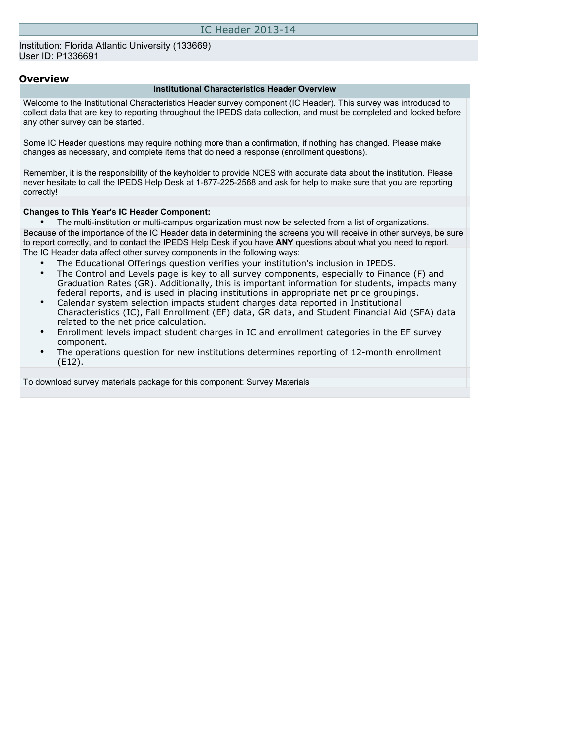Institution: Florida Atlantic University (133669) User ID: P1336691

### **Overview**

#### **Institutional Characteristics Header Overview**

Welcome to the Institutional Characteristics Header survey component (IC Header). This survey was introduced to collect data that are key to reporting throughout the IPEDS data collection, and must be completed and locked before any other survey can be started.

Some IC Header questions may require nothing more than a confirmation, if nothing has changed. Please make changes as necessary, and complete items that do need a response (enrollment questions).

Remember, it is the responsibility of the keyholder to provide NCES with accurate data about the institution. Please never hesitate to call the IPEDS Help Desk at 1-877-225-2568 and ask for help to make sure that you are reporting correctly!

#### **Changes to This Year's IC Header Component:**

• The multi-institution or multi-campus organization must now be selected from a list of organizations.

Because of the importance of the IC Header data in determining the screens you will receive in other surveys, be sure to report correctly, and to contact the IPEDS Help Desk if you have **ANY** questions about what you need to report. The IC Header data affect other survey components in the following ways:

- The Educational Offerings question verifies your institution's inclusion in IPEDS.
- The Control and Levels page is key to all survey components, especially to Finance (F) and Graduation Rates (GR). Additionally, this is important information for students, impacts many federal reports, and is used in placing institutions in appropriate net price groupings.
- Calendar system selection impacts student charges data reported in Institutional Characteristics (IC), Fall Enrollment (EF) data, GR data, and Student Financial Aid (SFA) data related to the net price calculation.
- Enrollment levels impact student charges in IC and enrollment categories in the EF survey component.
- The operations question for new institutions determines reporting of 12-month enrollment (E12).

To download survey materials package for this component: [Survey Materials](https://surveys.nces.ed.gov/ipeds/VisIndex.aspx)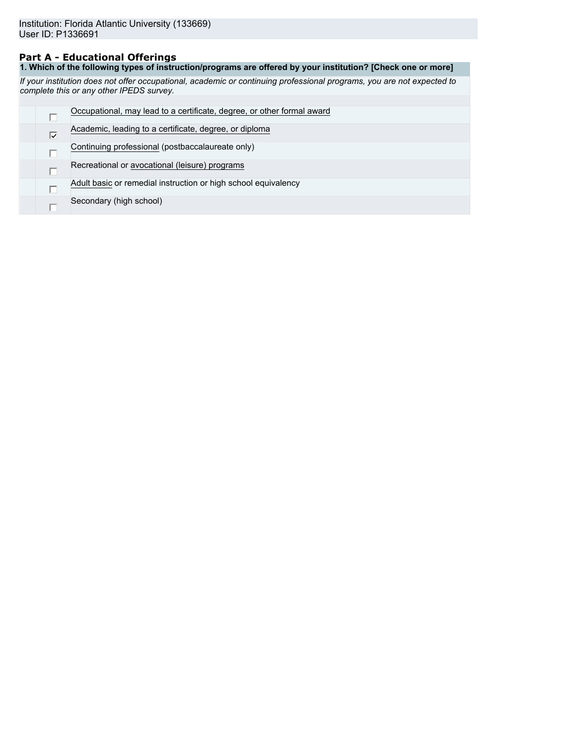### **Part A - Educational Offerings**

**1. Which of the following types of instruction/programs are offered by your institution? [Check one or more]**

*If your institution does not offer occupational, academic or continuing professional programs, you are not expected to complete this or any other IPEDS survey.*

|   | Occupational, may lead to a certificate, degree, or other formal award |
|---|------------------------------------------------------------------------|
| ⊽ | Academic, leading to a certificate, degree, or diploma                 |
|   | Continuing professional (postbaccalaureate only)                       |
|   | Recreational or avocational (leisure) programs                         |
|   | Adult basic or remedial instruction or high school equivalency         |
|   | Secondary (high school)                                                |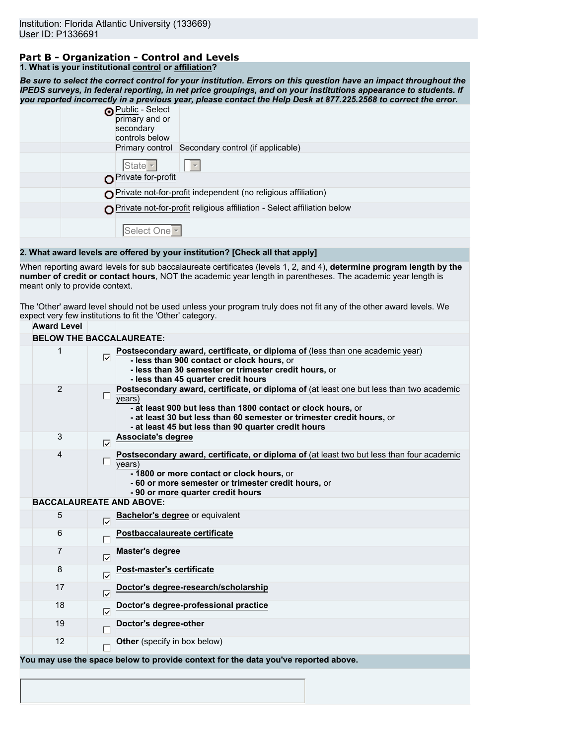## **Part B - Organization - Control and Levels**

|  | 1. What is your institutional control or affiliation? |  |
|--|-------------------------------------------------------|--|
|--|-------------------------------------------------------|--|

*Be sure to select the correct control for your institution. Errors on this question have an impact throughout the IPEDS surveys, in federal reporting, in net price groupings, and on your institutions appearance to students. If you reported incorrectly in a previous year, please contact the Help Desk at 877.225.2568 to correct the error.*

| <b>O</b> Public - Select<br>primary and or<br>secondary<br>controls below |
|---------------------------------------------------------------------------|
| Primary control Secondary control (if applicable)                         |
| State   v                                                                 |
| Private for-profit                                                        |
| $\bigcap$ Private not-for-profit independent (no religious affiliation)   |
| Private not-for-profit religious affiliation - Select affiliation below   |
| Select One <sup>-</sup>                                                   |
|                                                                           |

### **2. What award levels are offered by your institution? [Check all that apply]**

When reporting award levels for sub baccalaureate certificates (levels 1, 2, and 4), **determine program length by the number of credit or contact hours**, NOT the academic year length in parentheses. The academic year length is meant only to provide context.

The 'Other' award level should not be used unless your program truly does not fit any of the other award levels. We expect very few institutions to fit the 'Other' category.

| <b>Award Level</b>              |                     |                                                                                                                                                                                                                                                                                                            |
|---------------------------------|---------------------|------------------------------------------------------------------------------------------------------------------------------------------------------------------------------------------------------------------------------------------------------------------------------------------------------------|
| <b>BELOW THE BACCALAUREATE:</b> |                     |                                                                                                                                                                                                                                                                                                            |
| 1                               |                     | Postsecondary award, certificate, or diploma of (less than one academic year)<br>- less than 900 contact or clock hours, or<br>- less than 30 semester or trimester credit hours, or<br>- less than 45 quarter credit hours                                                                                |
| 2                               |                     | Postsecondary award, certificate, or diploma of (at least one but less than two academic<br>$\sqrt{years}$<br>- at least 900 but less than 1800 contact or clock hours, or<br>- at least 30 but less than 60 semester or trimester credit hours, or<br>- at least 45 but less than 90 quarter credit hours |
| 3                               | $\overline{\vee}$   | Associate's degree                                                                                                                                                                                                                                                                                         |
| 4                               |                     | Postsecondary award, certificate, or diploma of (at least two but less than four academic<br>years)<br>- 1800 or more contact or clock hours, or<br>- 60 or more semester or trimester credit hours, or<br>- 90 or more quarter credit hours                                                               |
| <b>BACCALAUREATE AND ABOVE:</b> |                     |                                                                                                                                                                                                                                                                                                            |
| 5                               | ঢ়                  | Bachelor's degree or equivalent                                                                                                                                                                                                                                                                            |
| 6                               |                     | Postbaccalaureate certificate                                                                                                                                                                                                                                                                              |
| 7                               | $\overline{\vee}$   | <b>Master's degree</b>                                                                                                                                                                                                                                                                                     |
| 8                               | $\overline{\vee}$   | Post-master's certificate                                                                                                                                                                                                                                                                                  |
| 17                              | ⊽                   | Doctor's degree-research/scholarship                                                                                                                                                                                                                                                                       |
| 18                              | $\overline{\nabla}$ | Doctor's degree-professional practice                                                                                                                                                                                                                                                                      |
| 19                              |                     | Doctor's degree-other                                                                                                                                                                                                                                                                                      |
| 12                              |                     | Other (specify in box below)                                                                                                                                                                                                                                                                               |
|                                 |                     | You may use the space below to provide context for the data you've reported above.                                                                                                                                                                                                                         |
|                                 |                     |                                                                                                                                                                                                                                                                                                            |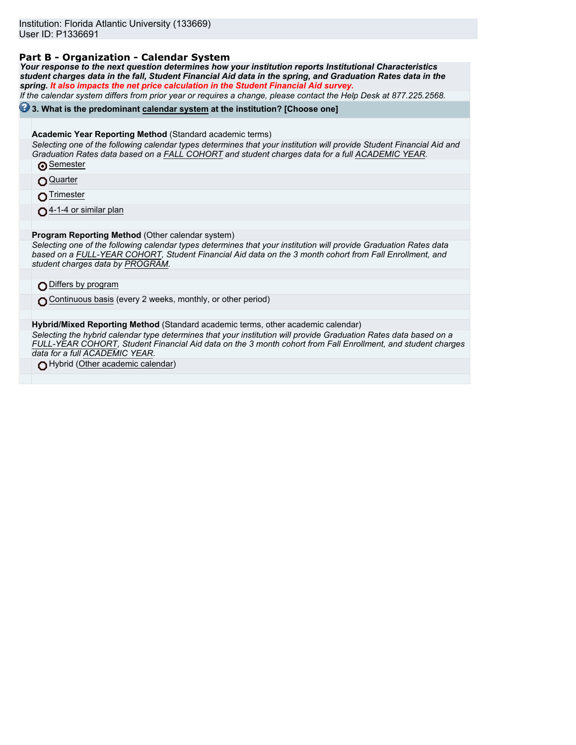### **Part B - Organization - Calendar System**

*Your response to the next question determines how your institution reports Institutional Characteristics student charges data in the fall, Student Financial Aid data in the spring, and Graduation Rates data in the spring. It also impacts the net price calculation in the Student Financial Aid survey.*

*If the calendar system differs from prior year or requires a change, please contact the Help Desk at 877.225.2568.*

### **3. What is the predominant calendar system at the institution? [Choose one]**

**Academic Year Reporting Method** (Standard academic terms)

*Selecting one of the following calendar types determines that your institution will provide Student Financial Aid and Graduation Rates data based on a FALL COHORT and student charges data for a full ACADEMIC YEAR.* **Semester** 

**Quarter** 

**O**Trimester

04-1-4 or similar plan

**Program Reporting Method** (Other calendar system)

*Selecting one of the following calendar types determines that your institution will provide Graduation Rates data based on a FULL-YEAR COHORT, Student Financial Aid data on the 3 month cohort from Fall Enrollment, and student charges data by PROGRAM.*

Differs by program

Continuous basis (every 2 weeks, monthly, or other period)

**Hybrid/Mixed Reporting Method** (Standard academic terms, other academic calendar)

*Selecting the hybrid calendar type determines that your institution will provide Graduation Rates data based on a FULL-YEAR COHORT, Student Financial Aid data on the 3 month cohort from Fall Enrollment, and student charges data for a full ACADEMIC YEAR.*

Hybrid (Other academic calendar)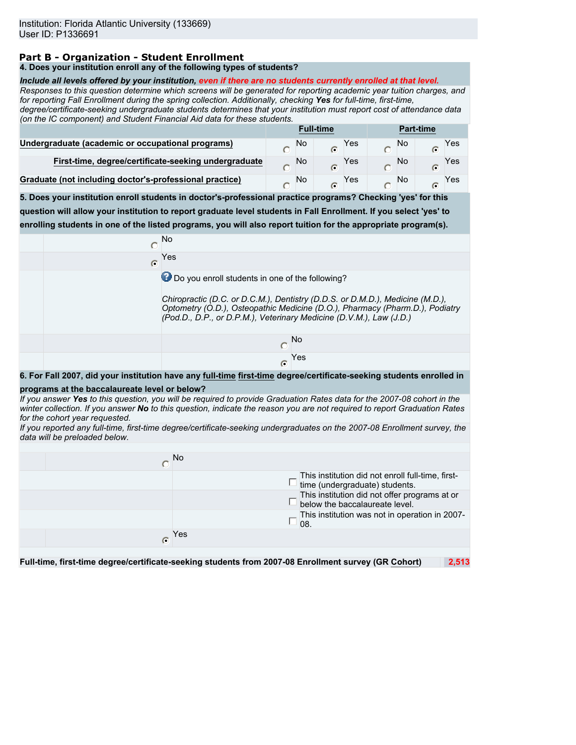### **Part B - Organization - Student Enrollment**

### **4. Does your institution enroll any of the following types of students?**

#### *Include all levels offered by your institution, even if there are no students currently enrolled at that level.*

*Responses to this question determine which screens will be generated for reporting academic year tuition charges, and for reporting Fall Enrollment during the spring collection. Additionally, checking Yes for full-time, first-time,*

*degree/certificate-seeking undergraduate students determines that your institution must report cost of attendance data (on the IC component) and Student Financial Aid data for these students.*

|                                                         | <b>Full-time</b> |    | <b>Part-time</b> |     |  |    |  |     |
|---------------------------------------------------------|------------------|----|------------------|-----|--|----|--|-----|
| Undergraduate (academic or occupational programs)       |                  | No | G                | Yes |  | No |  | Yes |
| First-time, degree/certificate-seeking undergraduate    |                  | No |                  | Yes |  | No |  | Yes |
| Graduate (not including doctor's-professional practice) |                  | No |                  | Yes |  | No |  | Yes |

**5. Does your institution enroll students in doctor's-professional practice programs? Checking 'yes' for this question will allow your institution to report graduate level students in Fall Enrollment. If you select 'yes' to enrolling students in one of the listed programs, you will also report tuition for the appropriate program(s).**

|   | <b>No</b>                                                                                                                                                                                                                            |
|---|--------------------------------------------------------------------------------------------------------------------------------------------------------------------------------------------------------------------------------------|
| C | Yes                                                                                                                                                                                                                                  |
|   | Do you enroll students in one of the following?                                                                                                                                                                                      |
|   | Chiropractic (D.C. or D.C.M.), Dentistry (D.D.S. or D.M.D.), Medicine (M.D.),<br>Optometry (O.D.), Osteopathic Medicine (D.O.), Pharmacy (Pharm.D.), Podiatry<br>(Pod.D., D.P., or D.P.M.), Veterinary Medicine (D.V.M.), Law (J.D.) |
|   | <b>No</b>                                                                                                                                                                                                                            |
|   | Yes<br>C                                                                                                                                                                                                                             |

**6. For Fall 2007, did your institution have any full-time first-time degree/certificate-seeking students enrolled in**

#### **programs at the baccalaureate level or below?**

*If you answer Yes to this question, you will be required to provide Graduation Rates data for the 2007-08 cohort in the winter collection. If you answer No to this question, indicate the reason you are not required to report Graduation Rates for the cohort year requested.*

*If you reported any full-time, first-time degree/certificate-seeking undergraduates on the 2007-08 Enrollment survey, the data will be preloaded below.*

|   | <b>No</b> |                                                                                     |
|---|-----------|-------------------------------------------------------------------------------------|
|   |           | This institution did not enroll full-time, first-<br>time (undergraduate) students. |
|   |           | This institution did not offer programs at or<br>below the baccalaureate level.     |
|   | 08.       | This institution was not in operation in 2007-                                      |
| G | Yes       |                                                                                     |
|   |           |                                                                                     |

**Full-time, first-time degree/certificate-seeking students from 2007-08 Enrollment survey (GR Cohort) 2,513**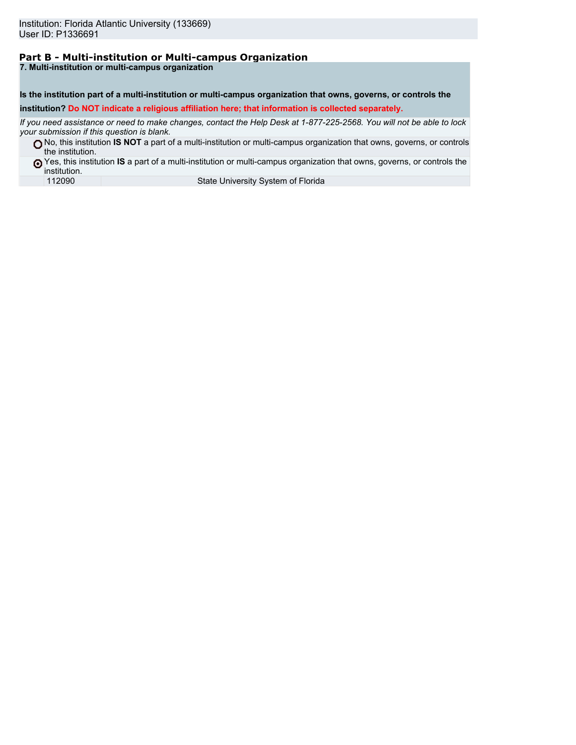# **Part B - Multi-institution or Multi-campus Organization**

**7. Multi-institution or multi-campus organization**

**Is the institution part of a multi-institution or multi-campus organization that owns, governs, or controls the institution? Do NOT indicate a religious affiliation here; that information is collected separately.**

*If you need assistance or need to make changes, contact the Help Desk at 1-877-225-2568. You will not be able to lock your submission if this question is blank.*

No, this institution **IS NOT** a part of a multi-institution or multi-campus organization that owns, governs, or controls the institution.

Yes, this institution **IS** a part of a multi-institution or multi-campus organization that owns, governs, or controls the institution.<br>112090

State University System of Florida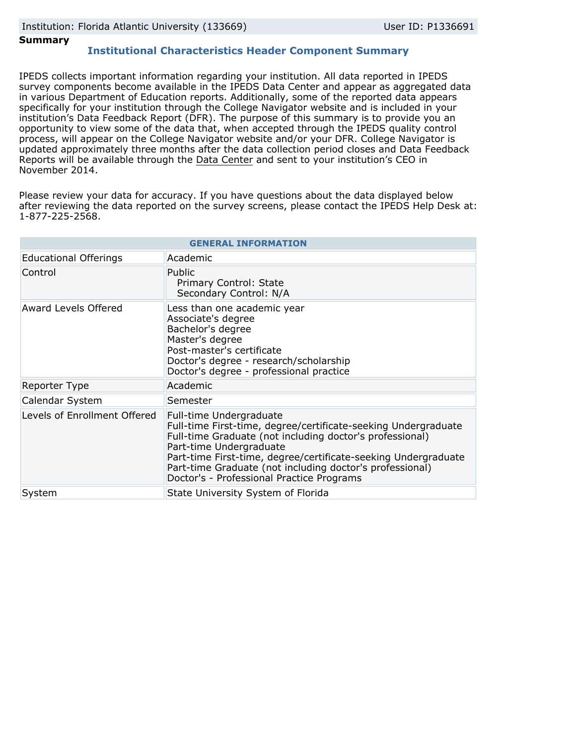### **Summary**

### **Institutional Characteristics Header Component Summary**

IPEDS collects important information regarding your institution. All data reported in IPEDS survey components become available in the IPEDS Data Center and appear as aggregated data in various Department of Education reports. Additionally, some of the reported data appears specifically for your institution through the College Navigator website and is included in your institution's Data Feedback Report (DFR). The purpose of this summary is to provide you an opportunity to view some of the data that, when accepted through the IPEDS quality control process, will appear on the College Navigator website and/or your DFR. College Navigator is updated approximately three months after the data collection period closes and Data Feedback Reports will be available through the [Data Center](http://nces.ed.gov/ipeds/datacenter/) and sent to your institution's CEO in November 2014.

Please review your data for accuracy. If you have questions about the data displayed below after reviewing the data reported on the survey screens, please contact the IPEDS Help Desk at: 1-877-225-2568.

| <b>GENERAL INFORMATION</b>   |                                                                                                                                                                                                                                                                                                                                                             |  |  |  |
|------------------------------|-------------------------------------------------------------------------------------------------------------------------------------------------------------------------------------------------------------------------------------------------------------------------------------------------------------------------------------------------------------|--|--|--|
| <b>Educational Offerings</b> | Academic                                                                                                                                                                                                                                                                                                                                                    |  |  |  |
| Control                      | Public<br>Primary Control: State<br>Secondary Control: N/A                                                                                                                                                                                                                                                                                                  |  |  |  |
| Award Levels Offered         | Less than one academic year<br>Associate's degree<br>Bachelor's degree<br>Master's degree<br>Post-master's certificate<br>Doctor's degree - research/scholarship<br>Doctor's degree - professional practice                                                                                                                                                 |  |  |  |
| Reporter Type                | Academic                                                                                                                                                                                                                                                                                                                                                    |  |  |  |
| Calendar System              | Semester                                                                                                                                                                                                                                                                                                                                                    |  |  |  |
| Levels of Enrollment Offered | Full-time Undergraduate<br>Full-time First-time, degree/certificate-seeking Undergraduate<br>Full-time Graduate (not including doctor's professional)<br>Part-time Undergraduate<br>Part-time First-time, degree/certificate-seeking Undergraduate<br>Part-time Graduate (not including doctor's professional)<br>Doctor's - Professional Practice Programs |  |  |  |
| System                       | State University System of Florida                                                                                                                                                                                                                                                                                                                          |  |  |  |